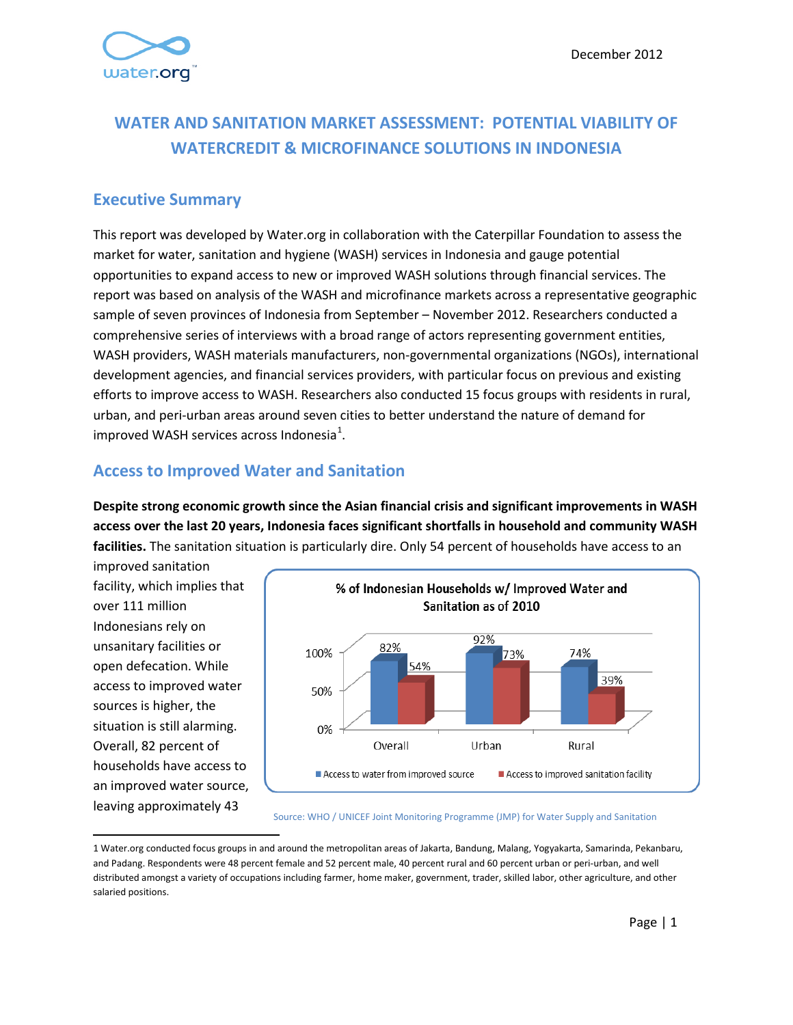# **WATER AND SANITATION MARKET ASSESSMENT: POTENTIAL VIABILITY OF WATERCREDIT & MICROFINANCE SOLUTIONS IN INDONESIA**

#### **Executive Summary**

This report was developed by Water.org in collaboration with the Caterpillar Foundation to assess the market for water, sanitation and hygiene (WASH) services in Indonesia and gauge potential opportunities to expand access to new or improved WASH solutions through financial services. The report was based on analysis of the WASH and microfinance markets across a representative geographic sample of seven provinces of Indonesia from September – November 2012. Researchers conducted a comprehensive series of interviews with a broad range of actors representing government entities, WASH providers, WASH materials manufacturers, non-governmental organizations (NGOs), international development agencies, and financial services providers, with particular focus on previous and existing efforts to improve access to WASH. Researchers also conducted 15 focus groups with residents in rural, urban, and peri-urban areas around seven cities to better understand the nature of demand for improved WASH services across Indonesia<sup>[1](#page-0-0)</sup>.

### **Access to Improved Water and Sanitation**

**Despite strong economic growth since the Asian financial crisis and significant improvements in WASH access over the last 20 years, Indonesia faces significant shortfalls in household and community WASH facilities.** The sanitation situation is particularly dire. Only 54 percent of households have access to an

improved sanitation facility, which implies that over 111 million Indonesians rely on unsanitary facilities or open defecation. While access to improved water sources is higher, the situation is still alarming. Overall, 82 percent of households have access to an improved water source, leaving approximately 43



#### Source: WHO / UNICEF Joint Monitoring Programme (JMP) for Water Supply and Sanitation

<span id="page-0-1"></span><span id="page-0-0"></span> <sup>1</sup> Water.org conducted focus groups in and around the metropolitan areas of Jakarta, Bandung, Malang, Yogyakarta, Samarinda, Pekanbaru, and Padang. Respondents were 48 percent female and 52 percent male, 40 percent rural and 60 percent urban or peri-urban, and well distributed amongst a variety of occupations including farmer, home maker, government, trader, skilled labor, other agriculture, and other salaried positions.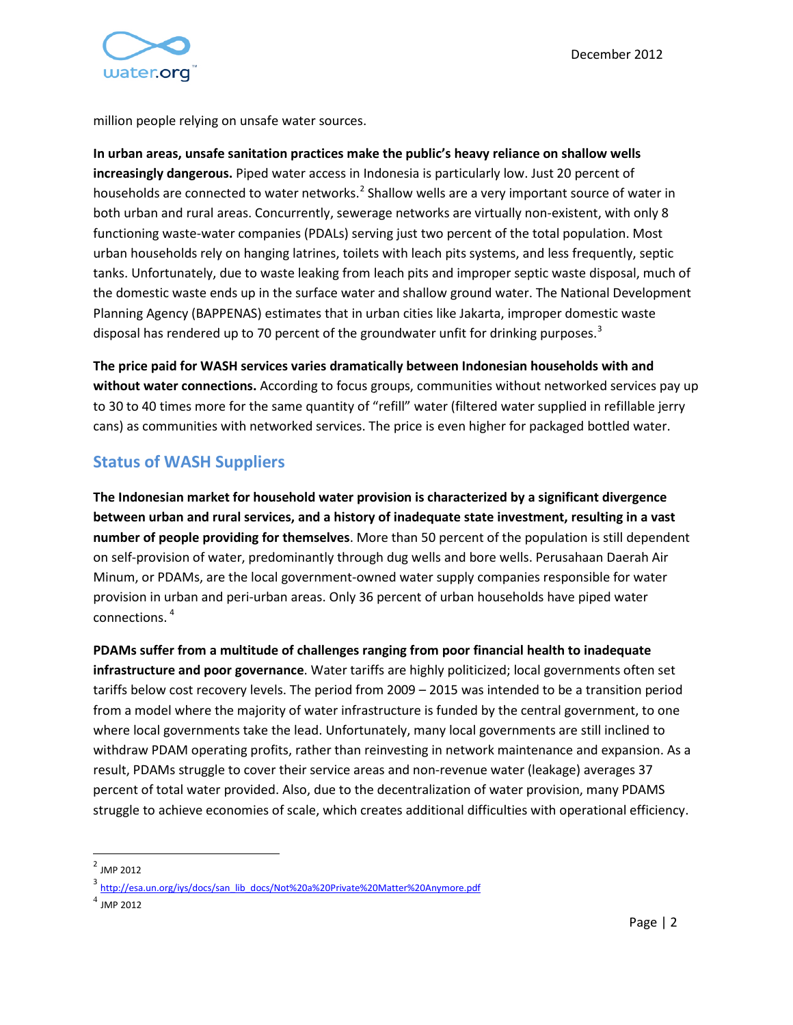

million people relying on unsafe water sources.

**In urban areas, unsafe sanitation practices make the public's heavy reliance on shallow wells increasingly dangerous.** Piped water access in Indonesia is particularly low. Just 20 percent of households are connected to water networks.<sup>[2](#page-0-1)</sup> Shallow wells are a very important source of water in both urban and rural areas. Concurrently, sewerage networks are virtually non-existent, with only 8 functioning waste-water companies (PDALs) serving just two percent of the total population. Most urban households rely on hanging latrines, toilets with leach pits systems, and less frequently, septic tanks. Unfortunately, due to waste leaking from leach pits and improper septic waste disposal, much of the domestic waste ends up in the surface water and shallow ground water. The National Development Planning Agency (BAPPENAS) estimates that in urban cities like Jakarta, improper domestic waste disposal has rendered up to 70 percent of the groundwater unfit for drinking purposes.<sup>[3](#page-1-0)</sup>

**The price paid for WASH services varies dramatically between Indonesian households with and without water connections.** According to focus groups, communities without networked services pay up to 30 to 40 times more for the same quantity of "refill" water (filtered water supplied in refillable jerry cans) as communities with networked services. The price is even higher for packaged bottled water.

## **Status of WASH Suppliers**

**The Indonesian market for household water provision is characterized by a significant divergence between urban and rural services, and a history of inadequate state investment, resulting in a vast number of people providing for themselves**. More than 50 percent of the population is still dependent on self-provision of water, predominantly through dug wells and bore wells. Perusahaan Daerah Air Minum, or PDAMs, are the local government-owned water supply companies responsible for water provision in urban and peri-urban areas. Only 36 percent of urban households have piped water connections. [4](#page-1-1)

**PDAMs suffer from a multitude of challenges ranging from poor financial health to inadequate infrastructure and poor governance**. Water tariffs are highly politicized; local governments often set tariffs below cost recovery levels. The period from 2009 – 2015 was intended to be a transition period from a model where the majority of water infrastructure is funded by the central government, to one where local governments take the lead. Unfortunately, many local governments are still inclined to withdraw PDAM operating profits, rather than reinvesting in network maintenance and expansion. As a result, PDAMs struggle to cover their service areas and non-revenue water (leakage) averages 37 percent of total water provided. Also, due to the decentralization of water provision, many PDAMS struggle to achieve economies of scale, which creates additional difficulties with operational efficiency.

 <sup>2</sup> JMP 2012

<span id="page-1-2"></span><span id="page-1-0"></span><sup>3</sup> [http://esa.un.org/iys/docs/san\\_lib\\_docs/Not%20a%20Private%20Matter%20Anymore.pdf](http://esa.un.org/iys/docs/san_lib_docs/Not%20a%20Private%20Matter%20Anymore.pdf)

<span id="page-1-1"></span> $^{4}$  JMP 2012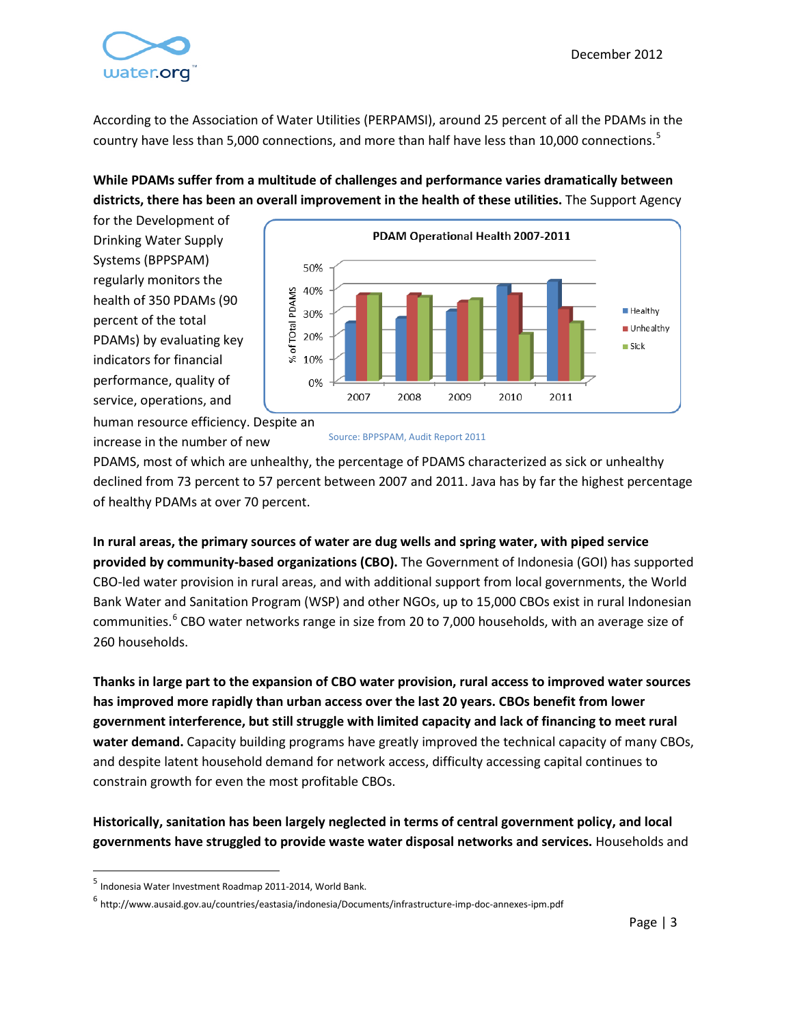

According to the Association of Water Utilities (PERPAMSI), around 25 percent of all the PDAMs in the country have less than [5](#page-1-2),000 connections, and more than half have less than 10,000 connections.<sup>5</sup>

#### **While PDAMs suffer from a multitude of challenges and performance varies dramatically between districts, there has been an overall improvement in the health of these utilities.** The Support Agency

for the Development of Drinking Water Supply Systems (BPPSPAM) regularly monitors the health of 350 PDAMs (90 percent of the total PDAMs) by evaluating key indicators for financial performance, quality of service, operations, and



human resource efficiency. Despite an increase in the number of new

Source: BPPSPAM, Audit Report 2011

PDAMS, most of which are unhealthy, the percentage of PDAMS characterized as sick or unhealthy declined from 73 percent to 57 percent between 2007 and 2011. Java has by far the highest percentage of healthy PDAMs at over 70 percent.

**In rural areas, the primary sources of water are dug wells and spring water, with piped service provided by community-based organizations (CBO).** The Government of Indonesia (GOI) has supported CBO-led water provision in rural areas, and with additional support from local governments, the World Bank Water and Sanitation Program (WSP) and other NGOs, up to 15,000 CBOs exist in rural Indonesian communities.<sup>[6](#page-2-0)</sup> CBO water networks range in size from 20 to 7,000 households, with an average size of 260 households.

**Thanks in large part to the expansion of CBO water provision, rural access to improved water sources has improved more rapidly than urban access over the last 20 years. CBOs benefit from lower government interference, but still struggle with limited capacity and lack of financing to meet rural water demand.** Capacity building programs have greatly improved the technical capacity of many CBOs, and despite latent household demand for network access, difficulty accessing capital continues to constrain growth for even the most profitable CBOs.

**Historically, sanitation has been largely neglected in terms of central government policy, and local governments have struggled to provide waste water disposal networks and services.** Households and

<span id="page-2-1"></span> <sup>5</sup> Indonesia Water Investment Roadmap 2011-2014, World Bank.

<span id="page-2-0"></span><sup>6</sup> http://www.ausaid.gov.au/countries/eastasia/indonesia/Documents/infrastructure-imp-doc-annexes-ipm.pdf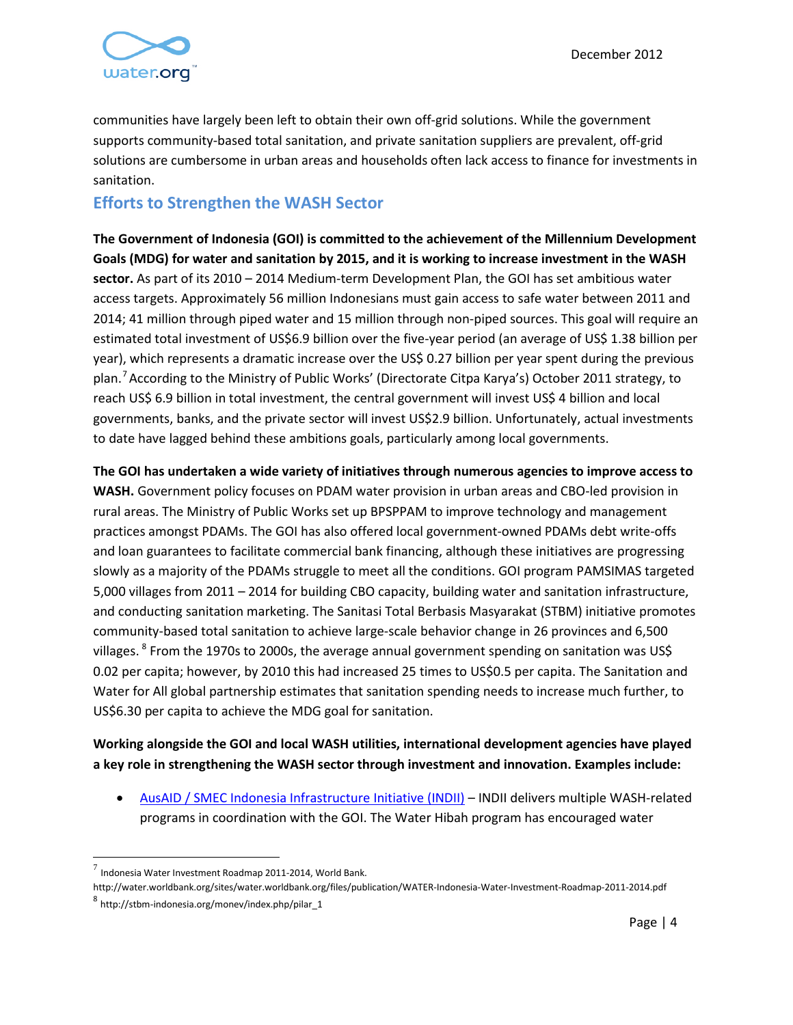

communities have largely been left to obtain their own off-grid solutions. While the government supports community-based total sanitation, and private sanitation suppliers are prevalent, off-grid solutions are cumbersome in urban areas and households often lack access to finance for investments in sanitation.

## **Efforts to Strengthen the WASH Sector**

**The Government of Indonesia (GOI) is committed to the achievement of the Millennium Development Goals (MDG) for water and sanitation by 2015, and it is working to increase investment in the WASH sector.** As part of its 2010 – 2014 Medium-term Development Plan, the GOI has set ambitious water access targets. Approximately 56 million Indonesians must gain access to safe water between 2011 and 2014; 41 million through piped water and 15 million through non-piped sources. This goal will require an estimated total investment of US\$6.9 billion over the five-year period (an average of US\$ 1.38 billion per year), which represents a dramatic increase over the US\$ 0.27 billion per year spent during the previous plan.<sup>[7](#page-2-1)</sup> According to the Ministry of Public Works' (Directorate Citpa Karya's) October 2011 strategy, to reach US\$ 6.9 billion in total investment, the central government will invest US\$ 4 billion and local governments, banks, and the private sector will invest US\$2.9 billion. Unfortunately, actual investments to date have lagged behind these ambitions goals, particularly among local governments.

**The GOI has undertaken a wide variety of initiatives through numerous agencies to improve access to WASH.** Government policy focuses on PDAM water provision in urban areas and CBO-led provision in rural areas. The Ministry of Public Works set up BPSPPAM to improve technology and management practices amongst PDAMs. The GOI has also offered local government-owned PDAMs debt write-offs and loan guarantees to facilitate commercial bank financing, although these initiatives are progressing slowly as a majority of the PDAMs struggle to meet all the conditions. GOI program PAMSIMAS targeted 5,000 villages from 2011 – 2014 for building CBO capacity, building water and sanitation infrastructure, and conducting sanitation marketing. The Sanitasi Total Berbasis Masyarakat (STBM) initiative promotes community-based total sanitation to achieve large-scale behavior change in 26 provinces and 6,500 villages. <sup>[8](#page-3-0)</sup> From the 1970s to 2000s, the average annual government spending on sanitation was US\$ 0.02 per capita; however, by 2010 this had increased 25 times to US\$0.5 per capita. The Sanitation and Water for All global partnership estimates that sanitation spending needs to increase much further, to US\$6.30 per capita to achieve the MDG goal for sanitation.

#### **Working alongside the GOI and local WASH utilities, international development agencies have played a key role in strengthening the WASH sector through investment and innovation. Examples include:**

• AusAID / SMEC [Indonesia Infrastructure Initiative \(INDII\)](http://indii.co.id/) – INDII delivers multiple WASH-related programs in coordination with the GOI. The Water Hibah program has encouraged water

Indonesia Water Investment Roadmap 2011-2014, World Bank.

<span id="page-3-1"></span><span id="page-3-0"></span>http://water.worldbank.org/sites/water.worldbank.org/files/publication/WATER-Indonesia-Water-Investment-Roadmap-2011-2014.pdf <sup>8</sup> [http://stbm-indonesia.org/monev/index.php/pilar\\_1](http://stbm-indonesia.org/monev/index.php/pilar_1)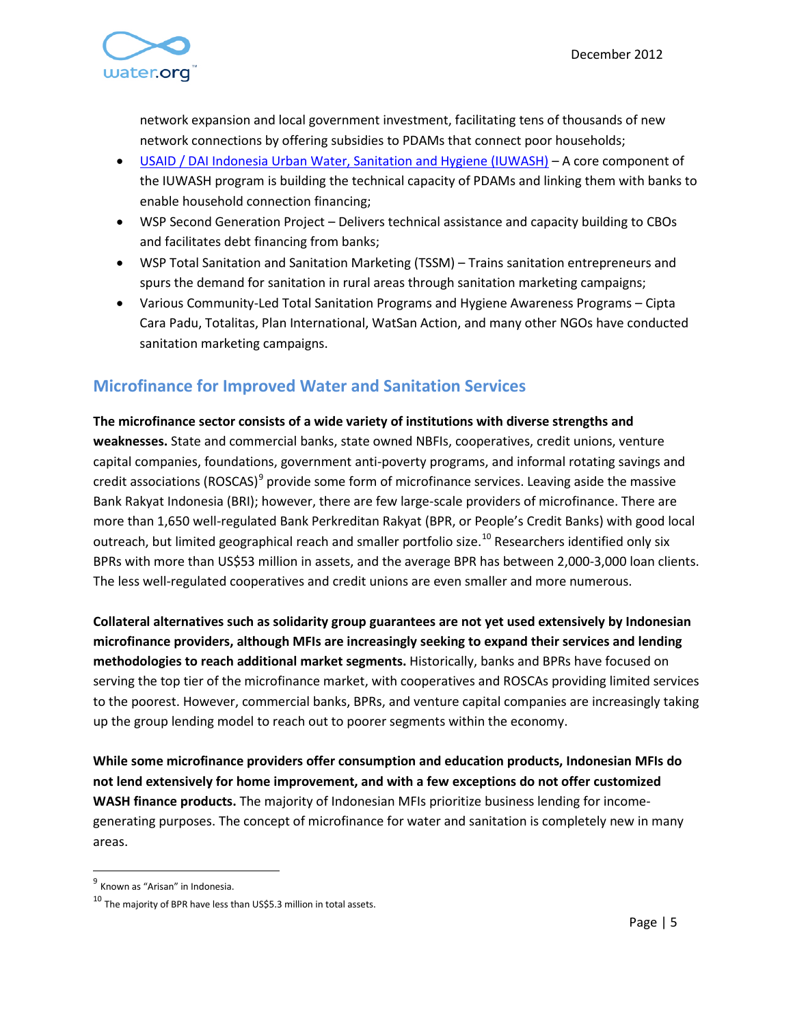

network expansion and local government investment, facilitating tens of thousands of new network connections by offering subsidies to PDAMs that connect poor households;

- [USAID / DAI Indonesia Urban Water, Sanitation and Hygiene \(IUWASH\)](http://www.iuwash.or.id/home) A core component of the IUWASH program is building the technical capacity of PDAMs and linking them with banks to enable household connection financing;
- WSP Second Generation Project Delivers technical assistance and capacity building to CBOs and facilitates debt financing from banks;
- WSP Total Sanitation and Sanitation Marketing (TSSM) Trains sanitation entrepreneurs and spurs the demand for sanitation in rural areas through sanitation marketing campaigns;
- Various Community-Led Total Sanitation Programs and Hygiene Awareness Programs Cipta Cara Padu, Totalitas, Plan International, WatSan Action, and many other NGOs have conducted sanitation marketing campaigns.

## **Microfinance for Improved Water and Sanitation Services**

**The microfinance sector consists of a wide variety of institutions with diverse strengths and weaknesses.** State and commercial banks, state owned NBFIs, cooperatives, credit unions, venture capital companies, foundations, government anti-poverty programs, and informal rotating savings and credit associations (ROSCAS) $^9$  $^9$  provide some form of microfinance services. Leaving aside the massive Bank Rakyat Indonesia (BRI); however, there are few large-scale providers of microfinance. There are more than 1,650 well-regulated Bank Perkreditan Rakyat (BPR, or People's Credit Banks) with good local outreach, but limited geographical reach and smaller portfolio size.<sup>[10](#page-4-0)</sup> Researchers identified only six BPRs with more than US\$53 million in assets, and the average BPR has between 2,000-3,000 loan clients. The less well-regulated cooperatives and credit unions are even smaller and more numerous.

**Collateral alternatives such as solidarity group guarantees are not yet used extensively by Indonesian microfinance providers, although MFIs are increasingly seeking to expand their services and lending methodologies to reach additional market segments.** Historically, banks and BPRs have focused on serving the top tier of the microfinance market, with cooperatives and ROSCAs providing limited services to the poorest. However, commercial banks, BPRs, and venture capital companies are increasingly taking up the group lending model to reach out to poorer segments within the economy.

**While some microfinance providers offer consumption and education products, Indonesian MFIs do not lend extensively for home improvement, and with a few exceptions do not offer customized WASH finance products.** The majority of Indonesian MFIs prioritize business lending for incomegenerating purposes. The concept of microfinance for water and sanitation is completely new in many areas.

<sup>&</sup>lt;sup>9</sup> Known as "Arisan" in Indonesia.

<span id="page-4-0"></span><sup>10</sup> The majority of BPR have less than US\$5.3 million in total assets.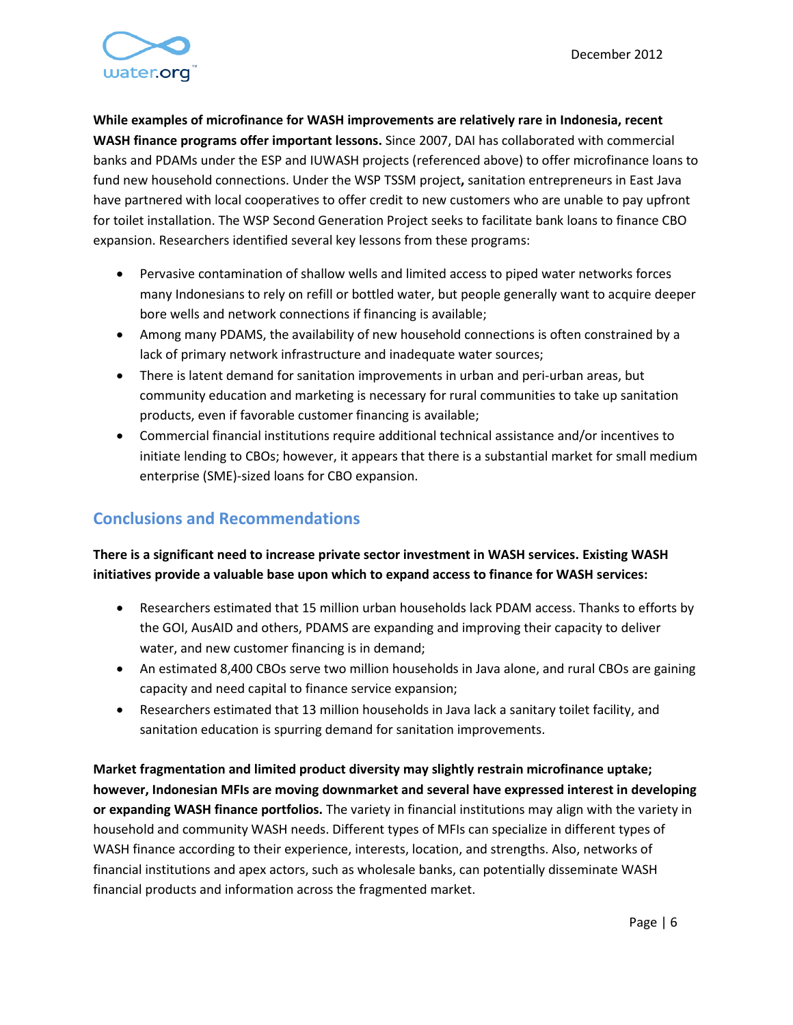

**While examples of microfinance for WASH improvements are relatively rare in Indonesia, recent WASH finance programs offer important lessons.** Since 2007, DAI has collaborated with commercial banks and PDAMs under the ESP and IUWASH projects (referenced above) to offer microfinance loans to fund new household connections. Under the WSP TSSM project**,** sanitation entrepreneurs in East Java have partnered with local cooperatives to offer credit to new customers who are unable to pay upfront for toilet installation. The WSP Second Generation Project seeks to facilitate bank loans to finance CBO expansion. Researchers identified several key lessons from these programs:

- Pervasive contamination of shallow wells and limited access to piped water networks forces many Indonesians to rely on refill or bottled water, but people generally want to acquire deeper bore wells and network connections if financing is available;
- Among many PDAMS, the availability of new household connections is often constrained by a lack of primary network infrastructure and inadequate water sources;
- There is latent demand for sanitation improvements in urban and peri-urban areas, but community education and marketing is necessary for rural communities to take up sanitation products, even if favorable customer financing is available;
- Commercial financial institutions require additional technical assistance and/or incentives to initiate lending to CBOs; however, it appears that there is a substantial market for small medium enterprise (SME)-sized loans for CBO expansion.

## **Conclusions and Recommendations**

#### **There is a significant need to increase private sector investment in WASH services. Existing WASH initiatives provide a valuable base upon which to expand access to finance for WASH services:**

- Researchers estimated that 15 million urban households lack PDAM access. Thanks to efforts by the GOI, AusAID and others, PDAMS are expanding and improving their capacity to deliver water, and new customer financing is in demand;
- An estimated 8,400 CBOs serve two million households in Java alone, and rural CBOs are gaining capacity and need capital to finance service expansion;
- Researchers estimated that 13 million households in Java lack a sanitary toilet facility, and sanitation education is spurring demand for sanitation improvements.

**Market fragmentation and limited product diversity may slightly restrain microfinance uptake; however, Indonesian MFIs are moving downmarket and several have expressed interest in developing or expanding WASH finance portfolios.** The variety in financial institutions may align with the variety in household and community WASH needs. Different types of MFIs can specialize in different types of WASH finance according to their experience, interests, location, and strengths. Also, networks of financial institutions and apex actors, such as wholesale banks, can potentially disseminate WASH financial products and information across the fragmented market.